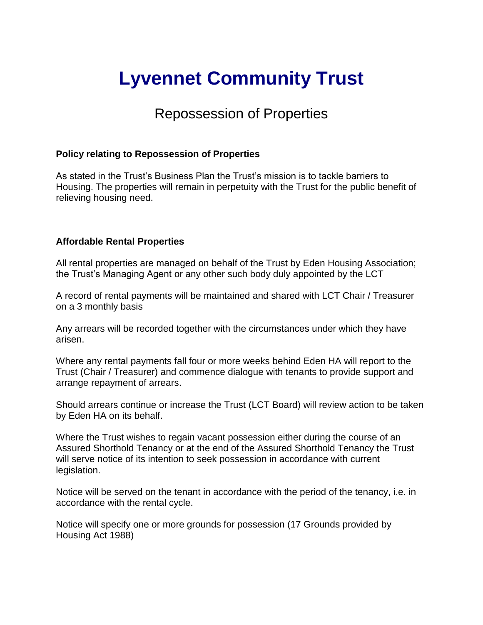## **Lyvennet Community Trust**

## Repossession of Properties

## **Policy relating to Repossession of Properties**

As stated in the Trust's Business Plan the Trust's mission is to tackle barriers to Housing. The properties will remain in perpetuity with the Trust for the public benefit of relieving housing need.

## **Affordable Rental Properties**

All rental properties are managed on behalf of the Trust by Eden Housing Association; the Trust's Managing Agent or any other such body duly appointed by the LCT

A record of rental payments will be maintained and shared with LCT Chair / Treasurer on a 3 monthly basis

Any arrears will be recorded together with the circumstances under which they have arisen.

Where any rental payments fall four or more weeks behind Eden HA will report to the Trust (Chair / Treasurer) and commence dialogue with tenants to provide support and arrange repayment of arrears.

Should arrears continue or increase the Trust (LCT Board) will review action to be taken by Eden HA on its behalf.

Where the Trust wishes to regain vacant possession either during the course of an Assured Shorthold Tenancy or at the end of the Assured Shorthold Tenancy the Trust will serve notice of its intention to seek possession in accordance with current legislation.

Notice will be served on the tenant in accordance with the period of the tenancy, i.e. in accordance with the rental cycle.

Notice will specify one or more grounds for possession (17 Grounds provided by Housing Act 1988)